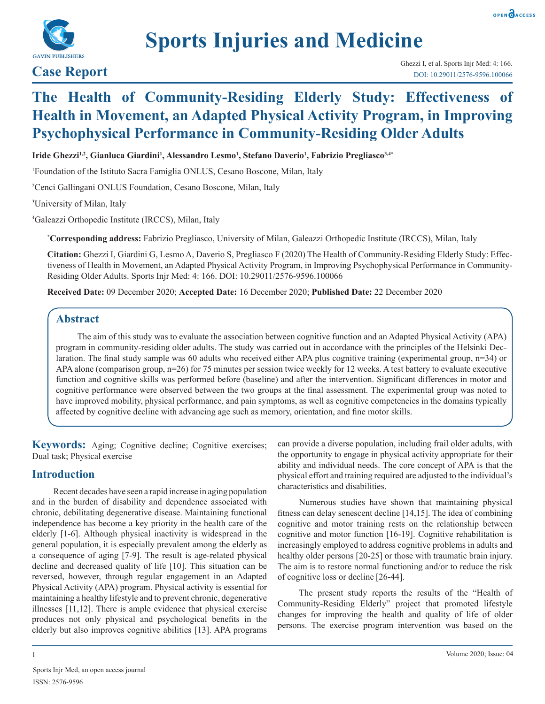

# **Sports Injuries and Medicine**

## **The Health of Community-Residing Elderly Study: Effectiveness of Health in Movement, an Adapted Physical Activity Program, in Improving Psychophysical Performance in Community-Residing Older Adults**

**Iride Ghezzi1,2, Gianluca Giardini1 , Alessandro Lesmo1 , Stefano Daverio1 , Fabrizio Pregliasco3,4\***

1 Foundation of the Istituto Sacra Famiglia ONLUS, Cesano Boscone, Milan, Italy

2 Cenci Gallingani ONLUS Foundation, Cesano Boscone, Milan, Italy

3 University of Milan, Italy

4 Galeazzi Orthopedic Institute (IRCCS), Milan, Italy

**\* Corresponding address:** Fabrizio Pregliasco, University of Milan, Galeazzi Orthopedic Institute (IRCCS), Milan, Italy

**Citation:** Ghezzi I, Giardini G, Lesmo A, Daverio S, Pregliasco F (2020) The Health of Community-Residing Elderly Study: Effectiveness of Health in Movement, an Adapted Physical Activity Program, in Improving Psychophysical Performance in Community-Residing Older Adults. Sports Injr Med: 4: 166. DOI: 10.29011/2576-9596.100066

**Received Date:** 09 December 2020; **Accepted Date:** 16 December 2020; **Published Date:** 22 December 2020

#### **Abstract**

The aim of this study was to evaluate the association between cognitive function and an Adapted Physical Activity (APA) program in community-residing older adults. The study was carried out in accordance with the principles of the Helsinki Declaration. The final study sample was 60 adults who received either APA plus cognitive training (experimental group, n=34) or APA alone (comparison group, n=26) for 75 minutes per session twice weekly for 12 weeks. A test battery to evaluate executive function and cognitive skills was performed before (baseline) and after the intervention. Significant differences in motor and cognitive performance were observed between the two groups at the final assessment. The experimental group was noted to have improved mobility, physical performance, and pain symptoms, as well as cognitive competencies in the domains typically affected by cognitive decline with advancing age such as memory, orientation, and fine motor skills.

**Keywords:** Aging; Cognitive decline; Cognitive exercises; Dual task; Physical exercise

### **Introduction**

Recent decades have seen a rapid increase in aging population and in the burden of disability and dependence associated with chronic, debilitating degenerative disease. Maintaining functional independence has become a key priority in the health care of the elderly [1-6]. Although physical inactivity is widespread in the general population, it is especially prevalent among the elderly as a consequence of aging [7-9]. The result is age-related physical decline and decreased quality of life [10]. This situation can be reversed, however, through regular engagement in an Adapted Physical Activity (APA) program. Physical activity is essential for maintaining a healthy lifestyle and to prevent chronic, degenerative illnesses [11,12]. There is ample evidence that physical exercise produces not only physical and psychological benefits in the elderly but also improves cognitive abilities [13]. APA programs

can provide a diverse population, including frail older adults, with the opportunity to engage in physical activity appropriate for their ability and individual needs. The core concept of APA is that the physical effort and training required are adjusted to the individual's characteristics and disabilities.

Numerous studies have shown that maintaining physical fitness can delay senescent decline [14,15]. The idea of combining cognitive and motor training rests on the relationship between cognitive and motor function [16-19]. Cognitive rehabilitation is increasingly employed to address cognitive problems in adults and healthy older persons [20-25] or those with traumatic brain injury. The aim is to restore normal functioning and/or to reduce the risk of cognitive loss or decline [26-44].

The present study reports the results of the "Health of Community-Residing Elderly" project that promoted lifestyle changes for improving the health and quality of life of older persons. The exercise program intervention was based on the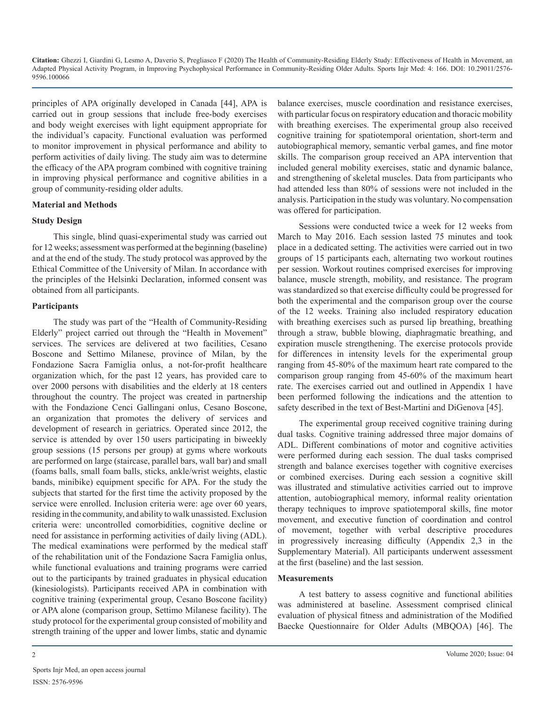principles of APA originally developed in Canada [44], APA is carried out in group sessions that include free-body exercises and body weight exercises with light equipment appropriate for the individual's capacity. Functional evaluation was performed to monitor improvement in physical performance and ability to perform activities of daily living. The study aim was to determine the efficacy of the APA program combined with cognitive training in improving physical performance and cognitive abilities in a group of community-residing older adults.

#### **Material and Methods**

#### **Study Design**

This single, blind quasi-experimental study was carried out for 12 weeks; assessment was performed at the beginning (baseline) and at the end of the study. The study protocol was approved by the Ethical Committee of the University of Milan. In accordance with the principles of the Helsinki Declaration, informed consent was obtained from all participants.

#### **Participants**

The study was part of the "Health of Community-Residing Elderly" project carried out through the "Health in Movement" services. The services are delivered at two facilities, Cesano Boscone and Settimo Milanese, province of Milan, by the Fondazione Sacra Famiglia onlus, a not-for-profit healthcare organization which, for the past 12 years, has provided care to over 2000 persons with disabilities and the elderly at 18 centers throughout the country. The project was created in partnership with the Fondazione Cenci Gallingani onlus, Cesano Boscone, an organization that promotes the delivery of services and development of research in geriatrics. Operated since 2012, the service is attended by over 150 users participating in biweekly group sessions (15 persons per group) at gyms where workouts are performed on large (staircase, parallel bars, wall bar) and small (foams balls, small foam balls, sticks, ankle/wrist weights, elastic bands, minibike) equipment specific for APA. For the study the subjects that started for the first time the activity proposed by the service were enrolled. Inclusion criteria were: age over 60 years, residing in the community, and ability to walk unassisted. Exclusion criteria were: uncontrolled comorbidities, cognitive decline or need for assistance in performing activities of daily living (ADL). The medical examinations were performed by the medical staff of the rehabilitation unit of the Fondazione Sacra Famiglia onlus, while functional evaluations and training programs were carried out to the participants by trained graduates in physical education (kinesiologists). Participants received APA in combination with cognitive training (experimental group, Cesano Boscone facility) or APA alone (comparison group, Settimo Milanese facility). The study protocol for the experimental group consisted of mobility and strength training of the upper and lower limbs, static and dynamic

balance exercises, muscle coordination and resistance exercises, with particular focus on respiratory education and thoracic mobility with breathing exercises. The experimental group also received cognitive training for spatiotemporal orientation, short-term and autobiographical memory, semantic verbal games, and fine motor skills. The comparison group received an APA intervention that included general mobility exercises, static and dynamic balance, and strengthening of skeletal muscles. Data from participants who had attended less than 80% of sessions were not included in the analysis. Participation in the study was voluntary. No compensation was offered for participation.

Sessions were conducted twice a week for 12 weeks from March to May 2016. Each session lasted 75 minutes and took place in a dedicated setting. The activities were carried out in two groups of 15 participants each, alternating two workout routines per session. Workout routines comprised exercises for improving balance, muscle strength, mobility, and resistance. The program was standardized so that exercise difficulty could be progressed for both the experimental and the comparison group over the course of the 12 weeks. Training also included respiratory education with breathing exercises such as pursed lip breathing, breathing through a straw, bubble blowing, diaphragmatic breathing, and expiration muscle strengthening. The exercise protocols provide for differences in intensity levels for the experimental group ranging from 45-80% of the maximum heart rate compared to the comparison group ranging from 45-60% of the maximum heart rate. The exercises carried out and outlined in Appendix 1 have been performed following the indications and the attention to safety described in the text of Best-Martini and DiGenova [45].

The experimental group received cognitive training during dual tasks. Cognitive training addressed three major domains of ADL. Different combinations of motor and cognitive activities were performed during each session. The dual tasks comprised strength and balance exercises together with cognitive exercises or combined exercises. During each session a cognitive skill was illustrated and stimulative activities carried out to improve attention, autobiographical memory, informal reality orientation therapy techniques to improve spatiotemporal skills, fine motor movement, and executive function of coordination and control of movement, together with verbal descriptive procedures in progressively increasing difficulty (Appendix 2,3 in the Supplementary Material). All participants underwent assessment at the first (baseline) and the last session.

#### **Measurements**

A test battery to assess cognitive and functional abilities was administered at baseline. Assessment comprised clinical evaluation of physical fitness and administration of the Modified Baecke Questionnaire for Older Adults (MBQOA) [46]. The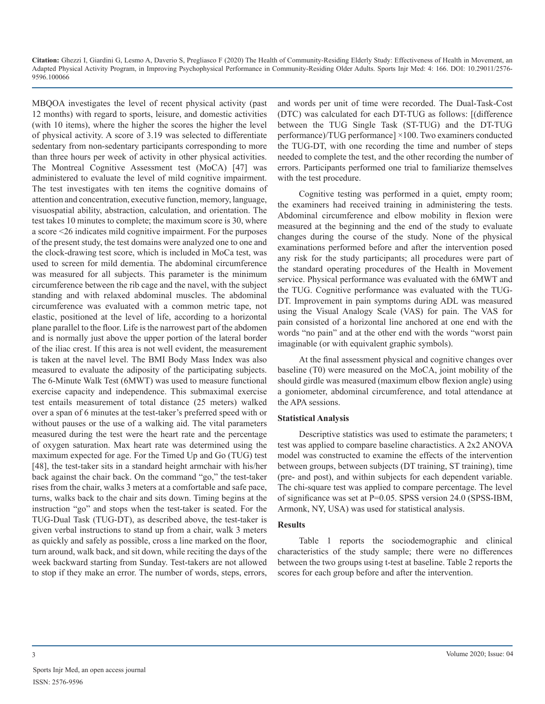MBQOA investigates the level of recent physical activity (past 12 months) with regard to sports, leisure, and domestic activities (with 10 items), where the higher the scores the higher the level of physical activity. A score of 3.19 was selected to differentiate sedentary from non-sedentary participants corresponding to more than three hours per week of activity in other physical activities. The Montreal Cognitive Assessment test (MoCA) [47] was administered to evaluate the level of mild cognitive impairment. The test investigates with ten items the cognitive domains of attention and concentration, executive function, memory, language, visuospatial ability, abstraction, calculation, and orientation. The test takes 10 minutes to complete; the maximum score is 30, where a score <26 indicates mild cognitive impairment. For the purposes of the present study, the test domains were analyzed one to one and the clock-drawing test score, which is included in MoCa test, was used to screen for mild dementia. The abdominal circumference was measured for all subjects. This parameter is the minimum circumference between the rib cage and the navel, with the subject standing and with relaxed abdominal muscles. The abdominal circumference was evaluated with a common metric tape, not elastic, positioned at the level of life, according to a horizontal plane parallel to the floor. Life is the narrowest part of the abdomen and is normally just above the upper portion of the lateral border of the iliac crest. If this area is not well evident, the measurement is taken at the navel level. The BMI Body Mass Index was also measured to evaluate the adiposity of the participating subjects. The 6-Minute Walk Test (6MWT) was used to measure functional exercise capacity and independence. This submaximal exercise test entails measurement of total distance (25 meters) walked over a span of 6 minutes at the test-taker's preferred speed with or without pauses or the use of a walking aid. The vital parameters measured during the test were the heart rate and the percentage of oxygen saturation. Max heart rate was determined using the maximum expected for age. For the Timed Up and Go (TUG) test [48], the test-taker sits in a standard height armchair with his/her back against the chair back. On the command "go," the test-taker rises from the chair, walks 3 meters at a comfortable and safe pace, turns, walks back to the chair and sits down. Timing begins at the instruction "go" and stops when the test-taker is seated. For the TUG-Dual Task (TUG-DT), as described above, the test-taker is given verbal instructions to stand up from a chair, walk 3 meters as quickly and safely as possible, cross a line marked on the floor, turn around, walk back, and sit down, while reciting the days of the week backward starting from Sunday. Test-takers are not allowed to stop if they make an error. The number of words, steps, errors,

and words per unit of time were recorded. The Dual-Task-Cost (DTC) was calculated for each DT-TUG as follows: [(difference between the TUG Single Task (ST-TUG) and the DT-TUG performance)/TUG performance] ×100. Two examiners conducted the TUG-DT, with one recording the time and number of steps needed to complete the test, and the other recording the number of errors. Participants performed one trial to familiarize themselves with the test procedure.

Cognitive testing was performed in a quiet, empty room; the examiners had received training in administering the tests. Abdominal circumference and elbow mobility in flexion were measured at the beginning and the end of the study to evaluate changes during the course of the study. None of the physical examinations performed before and after the intervention posed any risk for the study participants; all procedures were part of the standard operating procedures of the Health in Movement service. Physical performance was evaluated with the 6MWT and the TUG. Cognitive performance was evaluated with the TUG-DT. Improvement in pain symptoms during ADL was measured using the Visual Analogy Scale (VAS) for pain. The VAS for pain consisted of a horizontal line anchored at one end with the words "no pain" and at the other end with the words "worst pain imaginable (or with equivalent graphic symbols).

At the final assessment physical and cognitive changes over baseline (T0) were measured on the MoCA, joint mobility of the should girdle was measured (maximum elbow flexion angle) using a goniometer, abdominal circumference, and total attendance at the APA sessions.

#### **Statistical Analysis**

Descriptive statistics was used to estimate the parameters; t test was applied to compare baseline charactistics. A 2x2 ANOVA model was constructed to examine the effects of the intervention between groups, between subjects (DT training, ST training), time (pre- and post), and within subjects for each dependent variable. The chi-square test was applied to compare percentage. The level of significance was set at P=0.05. SPSS version 24.0 (SPSS-IBM, Armonk, NY, USA) was used for statistical analysis.

#### **Results**

Table 1 reports the sociodemographic and clinical characteristics of the study sample; there were no differences between the two groups using t-test at baseline. Table 2 reports the scores for each group before and after the intervention.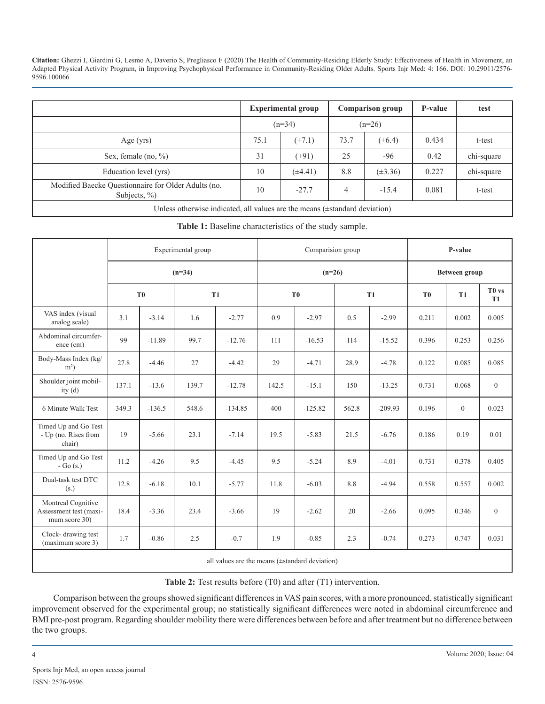|                                                                     |      | <b>Experimental group</b> |      | <b>Comparison group</b> | P-value | test       |
|---------------------------------------------------------------------|------|---------------------------|------|-------------------------|---------|------------|
|                                                                     |      | $(n=34)$                  |      | $(n=26)$                |         |            |
| Age $(yrs)$                                                         | 75.1 | $(\pm 7.1)$               | 73.7 | $(\pm 6.4)$             | 0.434   | t-test     |
| Sex, female $(no, \%)$                                              | 31   | $(+91)$                   | 25   | $-96$                   | 0.42    | chi-square |
| Education level (yrs)                                               | 10   | $(\pm 4.41)$              | 8.8  | $(\pm 3.36)$            | 0.227   | chi-square |
| Modified Baecke Questionnaire for Older Adults (no.<br>Subjects, %) | 10   | $-27.7$                   | 4    | $-15.4$                 | 0.081   | t-test     |

Unless otherwise indicated, all values are the means (±standard deviation)

**Table 1:** Baseline characteristics of the study sample.

|                                                               |                |          | Experimental group |           |       | Comparision group |           | P-value       |                |              |                                |
|---------------------------------------------------------------|----------------|----------|--------------------|-----------|-------|-------------------|-----------|---------------|----------------|--------------|--------------------------------|
|                                                               |                |          | $(n=34)$           |           |       | $(n=26)$          |           | Between group |                |              |                                |
|                                                               | T <sub>0</sub> |          | <b>T1</b>          |           |       | T <sub>0</sub>    | <b>T1</b> |               | T <sub>0</sub> | <b>T1</b>    | T <sub>0</sub> vs<br><b>T1</b> |
| VAS index (visual<br>analog scale)                            | 3.1            | $-3.14$  | 1.6                | $-2.77$   | 0.9   | $-2.97$           | 0.5       | $-2.99$       | 0.211          | 0.002        | 0.005                          |
| Abdominal circumfer-<br>ence (cm)                             | 99             | $-11.89$ | 99.7               | $-12.76$  | 111   | $-16.53$          | 114       | $-15.52$      | 0.396          | 0.253        | 0.256                          |
| Body-Mass Index (kg/<br>$m2$ )                                | 27.8           | $-4.46$  | 27                 | $-4.42$   | 29    | $-4.71$           | 28.9      | $-4.78$       | 0.122          | 0.085        | 0.085                          |
| Shoulder joint mobil-<br>ity $(d)$                            | 137.1          | $-13.6$  | 139.7              | $-12.78$  | 142.5 | $-15.1$           | 150       | $-13.25$      | 0.731          | 0.068        | $\overline{0}$                 |
| 6 Minute Walk Test                                            | 349.3          | $-136.5$ | 548.6              | $-134.85$ | 400   | $-125.82$         | 562.8     | $-209.93$     | 0.196          | $\mathbf{0}$ | 0.023                          |
| Timed Up and Go Test<br>- Up (no. Rises from<br>chair)        | 19             | $-5.66$  | 23.1               | $-7.14$   | 19.5  | $-5.83$           | 21.5      | $-6.76$       | 0.186          | 0.19         | 0.01                           |
| Timed Up and Go Test<br>$-Go(s.)$                             | 11.2           | $-4.26$  | 9.5                | $-4.45$   | 9.5   | $-5.24$           | 8.9       | $-4.01$       | 0.731          | 0.378        | 0.405                          |
| Dual-task test DTC<br>(s.)                                    | 12.8           | $-6.18$  | 10.1               | $-5.77$   | 11.8  | $-6.03$           | 8.8       | $-4.94$       | 0.558          | 0.557        | 0.002                          |
| Montreal Cognitive<br>Assessment test (maxi-<br>mum score 30) | 18.4           | $-3.36$  | 23.4               | $-3.66$   | 19    | $-2.62$           | 20        | $-2.66$       | 0.095          | 0.346        | $\overline{0}$                 |
| Clock-drawing test<br>(maximum score 3)                       | 1.7            | $-0.86$  | 2.5                | $-0.7$    | 1.9   | $-0.85$           | 2.3       | $-0.74$       | 0.273          | 0.747        | 0.031                          |
| all values are the means $(\pm$ standard deviation)           |                |          |                    |           |       |                   |           |               |                |              |                                |

**Table 2:** Test results before (T0) and after (T1) intervention.

Comparison between the groups showed significant differences in VAS pain scores, with a more pronounced, statistically significant improvement observed for the experimental group; no statistically significant differences were noted in abdominal circumference and BMI pre-post program. Regarding shoulder mobility there were differences between before and after treatment but no difference between the two groups.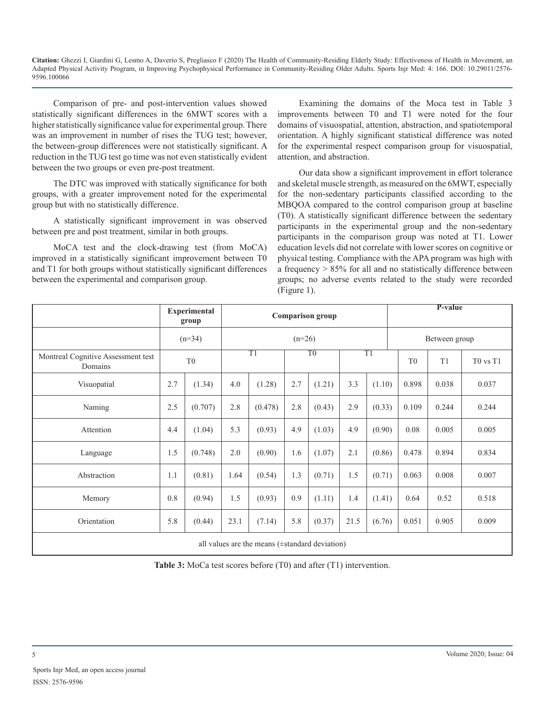Comparison of pre- and post-intervention values showed statistically significant differences in the 6MWT scores with a higher statistically significance value for experimental group. There was an improvement in number of rises the TUG test; however, the between-group differences were not statistically significant. A reduction in the TUG test go time was not even statistically evident between the two groups or even pre-post treatment.

The DTC was improved with statically significance for both groups, with a greater improvement noted for the experimental group but with no statistically difference.

A statistically significant improvement in was observed between pre and post treatment, similar in both groups.

MoCA test and the clock-drawing test (from MoCA) improved in a statistically significant improvement between T0 and T1 for both groups without statistically significant differences between the experimental and comparison group.

Examining the domains of the Moca test in Table 3 improvements between T0 and T1 were noted for the four domains of visuospatial, attention, abstraction, and spatiotemporal orientation. A highly significant statistical difference was noted for the experimental respect comparison group for visuospatial, attention, and abstraction.

Our data show a significant improvement in effort tolerance and skeletal muscle strength, as measured on the 6MWT, especially for the non-sedentary participants classified according to the MBQOA compared to the control comparison group at baseline (T0). A statistically significant difference between the sedentary participants in the experimental group and the non-sedentary participants in the comparison group was noted at T1. Lower education levels did not correlate with lower scores on cognitive or physical testing. Compliance with the APA program was high with a frequency > 85% for all and no statistically difference between groups; no adverse events related to the study were recorded (Figure 1).

|                                                     |            | <b>Experimental</b><br>group |          |         | <b>Comparison group</b> |        |      |        |                | P-value |          |  |
|-----------------------------------------------------|------------|------------------------------|----------|---------|-------------------------|--------|------|--------|----------------|---------|----------|--|
|                                                     |            | $(n=34)$                     | $(n=26)$ |         |                         |        |      |        | Between group  |         |          |  |
| Montreal Cognitive Assessment test<br>Domains       | ${\rm T}0$ |                              | T1       |         | T <sub>0</sub>          |        | T1   |        | T <sub>0</sub> | T1      | T0 vs T1 |  |
| Visuopatial                                         | 2.7        | (1.34)                       | 4.0      | (1.28)  | 2.7                     | (1.21) | 3.3  | (1.10) | 0.898          | 0.038   | 0.037    |  |
| Naming                                              | 2.5        | (0.707)                      | 2.8      | (0.478) | 2.8                     | (0.43) | 2.9  | (0.33) | 0.109          | 0.244   | 0.244    |  |
| Attention                                           | 4.4        | (1.04)                       | 5.3      | (0.93)  | 4.9                     | (1.03) | 4.9  | (0.90) | 0.08           | 0.005   | 0.005    |  |
| Language                                            | 1.5        | (0.748)                      | $2.0\,$  | (0.90)  | 1.6                     | (1.07) | 2.1  | (0.86) | 0.478          | 0.894   | 0.834    |  |
| Abstraction                                         | 1.1        | (0.81)                       | 1.64     | (0.54)  | 1.3                     | (0.71) | 1.5  | (0.71) | 0.063          | 0.008   | 0.007    |  |
| Memory                                              | 0.8        | (0.94)                       | 1.5      | (0.93)  | 0.9                     | (1.11) | 1.4  | (1.41) | 0.64           | 0.52    | 0.518    |  |
| Orientation                                         | 5.8        | (0.44)                       | 23.1     | (7.14)  | 5.8                     | (0.37) | 21.5 | (6.76) | 0.051          | 0.905   | 0.009    |  |
| all values are the means $(\pm$ standard deviation) |            |                              |          |         |                         |        |      |        |                |         |          |  |

**Table 3:** MoCa test scores before (T0) and after (T1) intervention.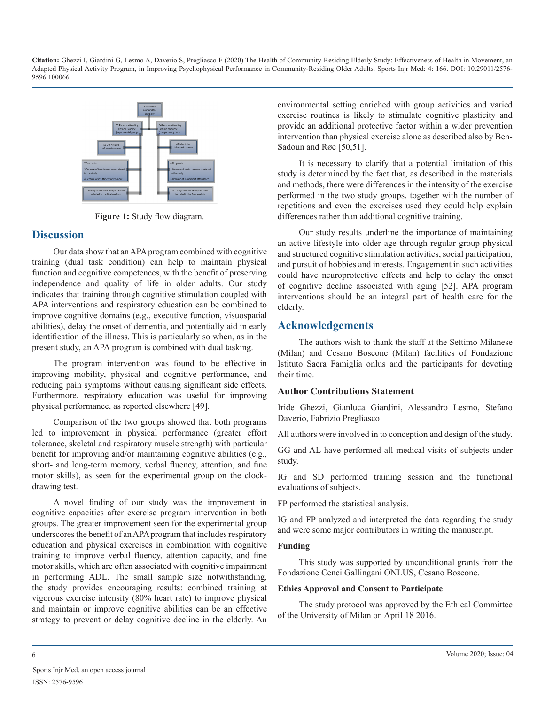

**Figure 1:** Study flow diagram.

#### **Discussion**

Our data show that an APA program combined with cognitive training (dual task condition) can help to maintain physical function and cognitive competences, with the benefit of preserving independence and quality of life in older adults. Our study indicates that training through cognitive stimulation coupled with APA interventions and respiratory education can be combined to improve cognitive domains (e.g., executive function, visuospatial abilities), delay the onset of dementia, and potentially aid in early identification of the illness. This is particularly so when, as in the present study, an APA program is combined with dual tasking.

The program intervention was found to be effective in improving mobility, physical and cognitive performance, and reducing pain symptoms without causing significant side effects. Furthermore, respiratory education was useful for improving physical performance, as reported elsewhere [49].

Comparison of the two groups showed that both programs led to improvement in physical performance (greater effort tolerance, skeletal and respiratory muscle strength) with particular benefit for improving and/or maintaining cognitive abilities (e.g., short- and long-term memory, verbal fluency, attention, and fine motor skills), as seen for the experimental group on the clockdrawing test.

A novel finding of our study was the improvement in cognitive capacities after exercise program intervention in both groups. The greater improvement seen for the experimental group underscores the benefit of an APA program that includes respiratory education and physical exercises in combination with cognitive training to improve verbal fluency, attention capacity, and fine motor skills, which are often associated with cognitive impairment in performing ADL. The small sample size notwithstanding, the study provides encouraging results: combined training at vigorous exercise intensity (80% heart rate) to improve physical and maintain or improve cognitive abilities can be an effective strategy to prevent or delay cognitive decline in the elderly. An

environmental setting enriched with group activities and varied exercise routines is likely to stimulate cognitive plasticity and provide an additional protective factor within a wider prevention intervention than physical exercise alone as described also by Ben-Sadoun and Røe [50,51].

It is necessary to clarify that a potential limitation of this study is determined by the fact that, as described in the materials and methods, there were differences in the intensity of the exercise performed in the two study groups, together with the number of repetitions and even the exercises used they could help explain differences rather than additional cognitive training.

Our study results underline the importance of maintaining an active lifestyle into older age through regular group physical and structured cognitive stimulation activities, social participation, and pursuit of hobbies and interests. Engagement in such activities could have neuroprotective effects and help to delay the onset of cognitive decline associated with aging [52]. APA program interventions should be an integral part of health care for the elderly.

#### **Acknowledgements**

The authors wish to thank the staff at the Settimo Milanese (Milan) and Cesano Boscone (Milan) facilities of Fondazione Istituto Sacra Famiglia onlus and the participants for devoting their time.

#### **Author Contributions Statement**

Iride Ghezzi, Gianluca Giardini, Alessandro Lesmo, Stefano Daverio, Fabrizio Pregliasco

All authors were involved in to conception and design of the study.

GG and AL have performed all medical visits of subjects under study.

IG and SD performed training session and the functional evaluations of subjects.

FP performed the statistical analysis.

IG and FP analyzed and interpreted the data regarding the study and were some major contributors in writing the manuscript.

#### **Funding**

This study was supported by unconditional grants from the Fondazione Cenci Gallingani ONLUS, Cesano Boscone.

#### **Ethics Approval and Consent to Participate**

The study protocol was approved by the Ethical Committee of the University of Milan on April 18 2016.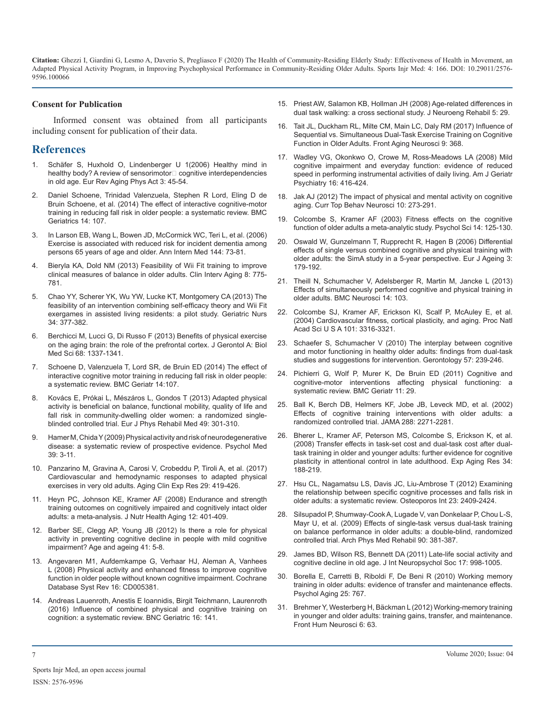#### **Consent for Publication**

Informed consent was obtained from all participants including consent for publication of their data.

#### **References**

- 1. [Schäfer S, Huxhold O, Lindenberger U 1\(2006\) Healthy mind in](https://eurapa.biomedcentral.com/articles/10.1007/s11556-006-0007-5)  healthy body? A review of sensorimotor $\Box$  cognitive interdependencies [in old age. Eur Rev Aging Phys Act 3: 45-54.](https://eurapa.biomedcentral.com/articles/10.1007/s11556-006-0007-5)
- 2. [Daniel Schoene, Trinidad Valenzuela, Stephen R Lord, Eling D de](https://pubmed.ncbi.nlm.nih.gov/25240384/)  [Bruin Schoene, et al. \(2014\) The effect of interactive cognitive-motor](https://pubmed.ncbi.nlm.nih.gov/25240384/)  [training in reducing fall risk in older people: a systematic review. BMC](https://pubmed.ncbi.nlm.nih.gov/25240384/)  [Geriatrics 14: 107.](https://pubmed.ncbi.nlm.nih.gov/25240384/)
- 3. [In Larson EB, Wang L, Bowen JD, McCormick WC, Teri L, et al. \(2006\)](https://pubmed.ncbi.nlm.nih.gov/16418406/)  [Exercise is associated with reduced risk for incident dementia among](https://pubmed.ncbi.nlm.nih.gov/16418406/)  [persons 65 years of age and older. Ann Intern Med 144:](https://pubmed.ncbi.nlm.nih.gov/16418406/) 73-81.
- 4. [Bieryla KA, Dold NM \(2013\) Feasibility of Wii Fit training to improve](https://www.ncbi.nlm.nih.gov/pmc/articles/PMC3699053/)  [clinical measures of balance in older adults. Clin Interv Aging 8: 775-](https://www.ncbi.nlm.nih.gov/pmc/articles/PMC3699053/) [781.](https://www.ncbi.nlm.nih.gov/pmc/articles/PMC3699053/)
- 5. [Chao YY, Scherer YK, Wu YW, Lucke KT, Montgomery CA \(2013\) The](https://pubmed.ncbi.nlm.nih.gov/23764366/)  [feasibility of an intervention combining self-efficacy theory and Wii Fit](https://pubmed.ncbi.nlm.nih.gov/23764366/)  [exergames in assisted living residents: a pilot study. Geriatric Nurs](https://pubmed.ncbi.nlm.nih.gov/23764366/)  [34: 377-382.](https://pubmed.ncbi.nlm.nih.gov/23764366/)
- 6. [Berchicci M, Lucci G, Di Russo F \(2013\) Benefits of physical exercise](https://www.ncbi.nlm.nih.gov/pmc/articles/PMC3805300/)  [on the aging brain: the role of the prefrontal cortex. J Gerontol A: Biol](https://www.ncbi.nlm.nih.gov/pmc/articles/PMC3805300/)  Med Sci [68: 1337-1341.](https://www.ncbi.nlm.nih.gov/pmc/articles/PMC3805300/)
- 7. [Schoene D, Valenzuela T, Lord SR, de Bruin ED \(2014\) The effect of](https://pubmed.ncbi.nlm.nih.gov/25240384/)  [interactive cognitive motor training in reducing fall risk in older people:](https://pubmed.ncbi.nlm.nih.gov/25240384/)  [a systematic review. BMC Geriatr 14:107.](https://pubmed.ncbi.nlm.nih.gov/25240384/)
- 8. [Kovács E, Prókai L, Mészáros L, Gondos T \(2013\) Adapted physical](https://pubmed.ncbi.nlm.nih.gov/23486300/)  [activity is beneficial on balance, functional mobility, quality of life and](https://pubmed.ncbi.nlm.nih.gov/23486300/)  [fall risk in community-dwelling older women: a randomized single](https://pubmed.ncbi.nlm.nih.gov/23486300/)[blinded controlled trial. Eur J Phys Rehabil Med 49: 301-310.](https://pubmed.ncbi.nlm.nih.gov/23486300/)
- 9. [Hamer M, Chida Y \(2009\) Physical activity and risk of neurodegenerative](https://pubmed.ncbi.nlm.nih.gov/18570697/)  [disease: a systematic review of prospective evidence. Psychol Med](https://pubmed.ncbi.nlm.nih.gov/18570697/)  39: [3-11.](https://pubmed.ncbi.nlm.nih.gov/18570697/)
- 10. [Panzarino M, Gravina A, Carosi V, Crobeddu P, Tiroli A, et al. \(2017\)](https://pubmed.ncbi.nlm.nih.gov/27324693/)  [Cardiovascular and hemodynamic responses to adapted physical](https://pubmed.ncbi.nlm.nih.gov/27324693/)  [exercises in very old adults. Aging Clin Exp Res 29: 419-426.](https://pubmed.ncbi.nlm.nih.gov/27324693/)
- 11. [Heyn PC, Johnson KE, Kramer AF \(2008\) Endurance and strength](https://pubmed.ncbi.nlm.nih.gov/18548179/)  [training outcomes on cognitively impaired and cognitively intact older](https://pubmed.ncbi.nlm.nih.gov/18548179/)  [adults: a meta-analysis. J Nutr Health Aging 12: 401-409.](https://pubmed.ncbi.nlm.nih.gov/18548179/)
- 12. [Barber SE, Clegg AP, Young JB \(2012\) Is there a role for physical](https://academic.oup.com/ageing/article/41/1/5/47505)  [activity in preventing cognitive decline in people with mild cognitive](https://academic.oup.com/ageing/article/41/1/5/47505)  [impairment? Age and ageing 41:](https://academic.oup.com/ageing/article/41/1/5/47505) 5-8.
- 13. [Angevaren M1, Aufdemkampe G, Verhaar HJ, Aleman A, Vanhees](https://pubmed.ncbi.nlm.nih.gov/18646126/)  [L \(2008\) Physical activity and enhanced fitness to improve cognitive](https://pubmed.ncbi.nlm.nih.gov/18646126/)  [function in older people without known cognitive impairment. Cochrane](https://pubmed.ncbi.nlm.nih.gov/18646126/)  [Database Syst Rev 16: CD005381.](https://pubmed.ncbi.nlm.nih.gov/18646126/)
- 14. [Andreas Lauenroth, Anestis E Ioannidis, Birgit Teichmann, Laurenroth](https://pubmed.ncbi.nlm.nih.gov/27431673/)  [\(2016\) Influence of combined physical and cognitive training on](https://pubmed.ncbi.nlm.nih.gov/27431673/)  [cognition: a systematic review. BNC Geriatric 16: 141.](https://pubmed.ncbi.nlm.nih.gov/27431673/)
- 15. [Priest AW, Salamon KB, Hollman JH \(2008\) Age-related differences in](https://pubmed.ncbi.nlm.nih.gov/19014583/)  [dual task walking: a cross sectional study. J Neuroeng Rehabil 5: 29.](https://pubmed.ncbi.nlm.nih.gov/19014583/)
- 16. [Tait JL, Duckham RL, Milte CM, Main LC, Daly RM \(2017\) Influence of](https://pubmed.ncbi.nlm.nih.gov/29163146/) [Sequential vs. Simultaneous Dual-Task Exercise Training on Cognitive](https://pubmed.ncbi.nlm.nih.gov/29163146/)  [Function in Older Adults. Front Aging Neurosci 9: 368.](https://pubmed.ncbi.nlm.nih.gov/29163146/)
- 17. [Wadley VG, Okonkwo O, Crowe M, Ross-Meadows LA \(2008\) Mild](https://pubmed.ncbi.nlm.nih.gov/18448852/)  [cognitive impairment and everyday function: evidence of reduced](https://pubmed.ncbi.nlm.nih.gov/18448852/)  [speed in performing instrumental activities of daily living. Am J Geriatr](https://pubmed.ncbi.nlm.nih.gov/18448852/)  [Psychiatry 16: 416-424.](https://pubmed.ncbi.nlm.nih.gov/18448852/)
- 18. [Jak AJ \(2012\) The impact of physical and mental activity on cognitive](https://pubmed.ncbi.nlm.nih.gov/21818703/)  [aging. Curr Top Behav Neurosci 10: 273-291.](https://pubmed.ncbi.nlm.nih.gov/21818703/)
- 19. [Colcombe S, Kramer AF \(2003\) Fitness effects on the cognitive](https://pubmed.ncbi.nlm.nih.gov/29592650/)  [function of older adults a meta-analytic study. Psychol Sci 14: 125-130.](https://pubmed.ncbi.nlm.nih.gov/29592650/)
- 20. [Oswald W, Gunzelmann T, Rupprecht R, Hagen B \(2006\) Differential](https://pubmed.ncbi.nlm.nih.gov/28794762/)  [effects of single versus combined cognitive and physical training with](https://pubmed.ncbi.nlm.nih.gov/28794762/)  [older adults: the SimA study in a 5-year perspective. Eur J Ageing 3:](https://pubmed.ncbi.nlm.nih.gov/28794762/)  [179-192.](https://pubmed.ncbi.nlm.nih.gov/28794762/)
- 21. [Theill N, Schumacher V, Adelsberger R, Martin M, Jancke L \(2013\)](https://pubmed.ncbi.nlm.nih.gov/24053148/)  [Effects of simultaneously performed cognitive and physical training in](https://pubmed.ncbi.nlm.nih.gov/24053148/)  [older adults. BMC Neurosci 14: 103.](https://pubmed.ncbi.nlm.nih.gov/24053148/)
- 22. [Colcombe SJ, Kramer AF, Erickson KI, Scalf P, McAuley E, et al.](https://pubmed.ncbi.nlm.nih.gov/14978288/)  [\(2004\) Cardiovascular fitness, cortical plasticity, and aging. Proc Natl](https://pubmed.ncbi.nlm.nih.gov/14978288/)  [Acad Sci U S A 101: 3316-3321.](https://pubmed.ncbi.nlm.nih.gov/14978288/)
- 23. [Schaefer S, Schumacher V \(2010\) The interplay between cognitive](https://pubmed.ncbi.nlm.nih.gov/20980735/)  [and motor functioning in healthy older adults: findings from dual-task](https://pubmed.ncbi.nlm.nih.gov/20980735/)  [studies and suggestions for intervention. Gerontology 57: 239-246.](https://pubmed.ncbi.nlm.nih.gov/20980735/)
- 24. [Pichierri G, Wolf P, Murer K, De Bruin ED \(2011\) Cognitive and](https://pubmed.ncbi.nlm.nih.gov/21651800/)  [cognitive-motor interventions affecting physical functioning: a](https://pubmed.ncbi.nlm.nih.gov/21651800/)  [systematic review. BMC Geriatr 11: 29.](https://pubmed.ncbi.nlm.nih.gov/21651800/)
- 25. [Ball K, Berch DB, Helmers KF, Jobe JB, Leveck MD, et al. \(2002\)](https://pubmed.ncbi.nlm.nih.gov/12425704/)  [Effects of cognitive training interventions with older adults: a](https://pubmed.ncbi.nlm.nih.gov/12425704/)  [randomized controlled trial. JAMA 288: 2271-2281.](https://pubmed.ncbi.nlm.nih.gov/12425704/)
- 26. [Bherer L, Kramer AF, Peterson MS, Colcombe S, Erickson K, et al.](https://pubmed.ncbi.nlm.nih.gov/18568979/) [\(2008\) Transfer effects in task-set cost and dual-task cost after dual](https://pubmed.ncbi.nlm.nih.gov/18568979/)[task training in older and younger adults: further evidence for cognitive](https://pubmed.ncbi.nlm.nih.gov/18568979/)  [plasticity in attentional control in late adulthood. Exp Aging Res 34:](https://pubmed.ncbi.nlm.nih.gov/18568979/)  [188-219.](https://pubmed.ncbi.nlm.nih.gov/18568979/)
- 27. [Hsu CL, Nagamatsu LS, Davis JC, Liu-Ambrose T \(2012\) Examining](https://link.springer.com/article/10.1007/s00198-012-1992-z)  [the relationship between specific cognitive processes and falls risk in](https://link.springer.com/article/10.1007/s00198-012-1992-z)  [older adults: a systematic review. Osteoporos Int 23: 2409-2424.](https://link.springer.com/article/10.1007/s00198-012-1992-z)
- 28. [Silsupadol P, Shumway-Cook A, Lugade V, van Donkelaar P, Chou L-S,](https://pubmed.ncbi.nlm.nih.gov/19254600/)  [Mayr U, et al. \(2009\) Effects of single-task versus dual-task training](https://pubmed.ncbi.nlm.nih.gov/19254600/)  [on balance performance in older adults: a double-blind, randomized](https://pubmed.ncbi.nlm.nih.gov/19254600/)  [controlled trial. Arch Phys Med Rehabil 90: 381-387.](https://pubmed.ncbi.nlm.nih.gov/19254600/)
- 29. [James BD, Wilson RS, Bennett DA \(2011\) Late-life social activity and](https://pubmed.ncbi.nlm.nih.gov/22040898/) [cognitive decline in old age. J Int Neuropsychol Soc 17: 998-1005.](https://pubmed.ncbi.nlm.nih.gov/22040898/)
- 30. [Borella E, Carretti B, Riboldi F, De Beni R \(2010\) Working memory](https://academic.oup.com/acn/article/28/4/331/5204)  [training in older adults: evidence of transfer and maintenance effects.](https://academic.oup.com/acn/article/28/4/331/5204)  [Psychol Aging 25: 767.](https://academic.oup.com/acn/article/28/4/331/5204)
- 31. [Brehmer Y, Westerberg H, Bäckman L \(2012\) Working-memory training](https://www.ncbi.nlm.nih.gov/pmc/articles/PMC3313479/)  [in younger and older adults: training gains, transfer, and maintenance.](https://www.ncbi.nlm.nih.gov/pmc/articles/PMC3313479/)  [Front Hum Neurosci 6: 63.](https://www.ncbi.nlm.nih.gov/pmc/articles/PMC3313479/)